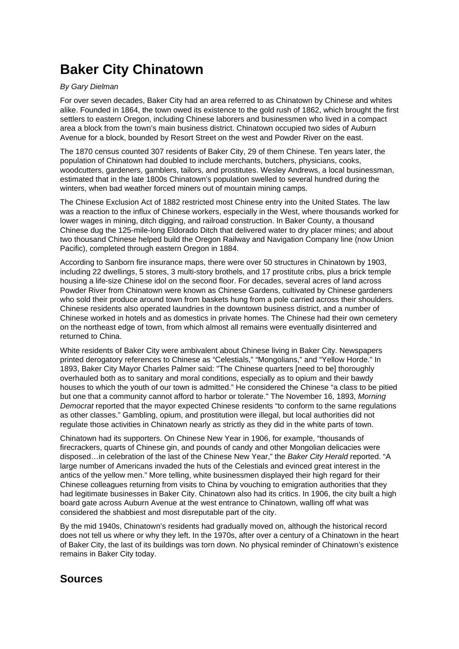## **Baker City Chinatown**

## By Gary Dielman

For over seven decades, Baker City had an area referred to as Chinatown by Chinese and whites alike. Founded in 1864, the town owed its existence to the gold rush of 1862, which brought the first settlers to eastern Oregon, including Chinese laborers and businessmen who lived in a compact area a block from the town's main business district. Chinatown occupied two sides of Auburn Avenue for a block, bounded by Resort Street on the west and Powder River on the east.

The 1870 census counted 307 residents of Baker City, 29 of them Chinese. Ten years later, the population of Chinatown had doubled to include merchants, butchers, physicians, cooks, woodcutters, gardeners, gamblers, tailors, and prostitutes. Wesley Andrews, a local businessman, estimated that in the late 1800s Chinatown's population swelled to several hundred during the winters, when bad weather forced miners out of mountain mining camps.

The Chinese Exclusion Act of 1882 restricted most Chinese entry into the United States. The law was a reaction to the influx of Chinese workers, especially in the West, where thousands worked for lower wages in mining, ditch digging, and railroad construction. In Baker County, a thousand Chinese dug the 125-mile-long Eldorado Ditch that delivered water to dry placer mines; and about two thousand Chinese helped build the Oregon Railway and Navigation Company line (now Union Pacific), completed through eastern Oregon in 1884.

According to Sanborn fire insurance maps, there were over 50 structures in Chinatown by 1903, including 22 dwellings, 5 stores, 3 multi-story brothels, and 17 prostitute cribs, plus a brick temple housing a life-size Chinese idol on the second floor. For decades, several acres of land across Powder River from Chinatown were known as Chinese Gardens, cultivated by Chinese gardeners who sold their produce around town from baskets hung from a pole carried across their shoulders. Chinese residents also operated laundries in the downtown business district, and a number of Chinese worked in hotels and as domestics in private homes. The Chinese had their own cemetery on the northeast edge of town, from which almost all remains were eventually disinterred and returned to China.

White residents of Baker City were ambivalent about Chinese living in Baker City. Newspapers printed derogatory references to Chinese as "Celestials," "Mongolians," and "Yellow Horde." In 1893, Baker City Mayor Charles Palmer said: "The Chinese quarters [need to be] thoroughly overhauled both as to sanitary and moral conditions, especially as to opium and their bawdy houses to which the youth of our town is admitted." He considered the Chinese "a class to be pitied but one that a community cannot afford to harbor or tolerate." The November 16, 1893, Morning Democrat reported that the mayor expected Chinese residents "to conform to the same regulations as other classes." Gambling, opium, and prostitution were illegal, but local authorities did not regulate those activities in Chinatown nearly as strictly as they did in the white parts of town.

Chinatown had its supporters. On Chinese New Year in 1906, for example, "thousands of firecrackers, quarts of Chinese gin, and pounds of candy and other Mongolian delicacies were disposed…in celebration of the last of the Chinese New Year," the Baker City Herald reported. "A large number of Americans invaded the huts of the Celestials and evinced great interest in the antics of the yellow men." More telling, white businessmen displayed their high regard for their Chinese colleagues returning from visits to China by vouching to emigration authorities that they had legitimate businesses in Baker City. Chinatown also had its critics. In 1906, the city built a high board gate across Auburn Avenue at the west entrance to Chinatown, walling off what was considered the shabbiest and most disreputable part of the city.

By the mid 1940s, Chinatown's residents had gradually moved on, although the historical record does not tell us where or why they left. In the 1970s, after over a century of a Chinatown in the heart of Baker City, the last of its buildings was torn down. No physical reminder of Chinatown's existence remains in Baker City today.

## **Sources**